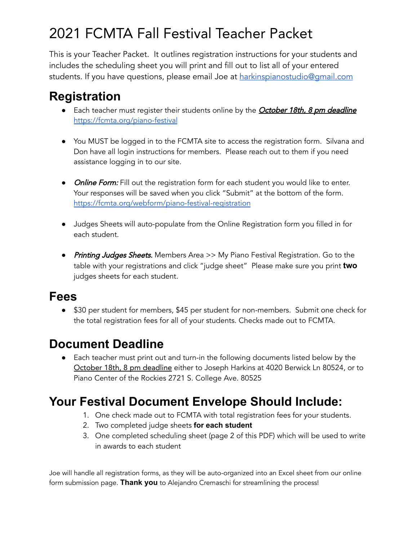## 2021 FCMTA Fall Festival Teacher Packet

This is your Teacher Packet. It outlines registration instructions for your students and includes the scheduling sheet you will print and fill out to list all of your entered students. If you have questions, please email Joe at [harkinspianostudio@gmail.com](mailto:harkinspianostudio@gmail.com)

### **Registration**

- Each teacher must register their students online by the **October 18th, 8 pm deadline** <https://fcmta.org/piano-festival>
- You MUST be logged in to the FCMTA site to access the registration form. Silvana and Don have all login instructions for members. Please reach out to them if you need assistance logging in to our site.
- Online Form: Fill out the registration form for each student you would like to enter. Your responses will be saved when you click "Submit" at the bottom of the form. <https://fcmta.org/webform/piano-festival-registration>
- Judges Sheets will auto-populate from the Online Registration form you filled in for each student.
- **Printing Judges Sheets.** Members Area >> My Piano Festival Registration. Go to the table with your registrations and click "judge sheet" Please make sure you print **two** judges sheets for each student.

#### **Fees**

● \$30 per student for members, \$45 per student for non-members. Submit one check for the total registration fees for all of your students. Checks made out to FCMTA.

#### **Document Deadline**

● Each teacher must print out and turn-in the following documents listed below by the October 18th, 8 pm deadline either to Joseph Harkins at 4020 Berwick Ln 80524, or to Piano Center of the Rockies 2721 S. College Ave. 80525

#### **Your Festival Document Envelope Should Include:**

- 1. One check made out to FCMTA with total registration fees for your students.
- 2. Two completed judge sheets **for each student**
- 3. One completed scheduling sheet (page 2 of this PDF) which will be used to write in awards to each student

Joe will handle all registration forms, as they will be auto-organized into an Excel sheet from our online form submission page. **Thank you** to Alejandro Cremaschi for streamlining the process!